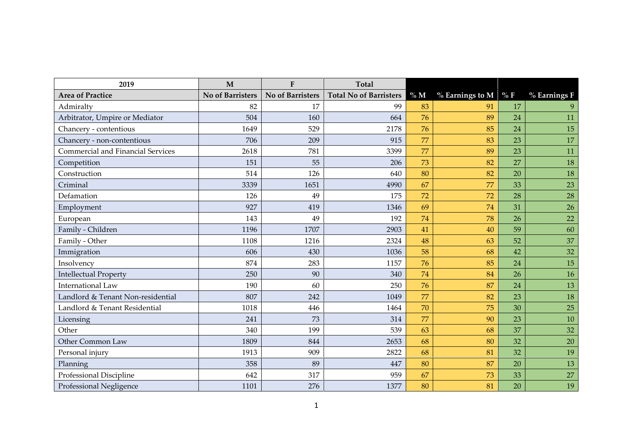| 2019                              | $\mathbf{M}$            | ${\bf F}$               | <b>Total</b>                  |    |                         |    |              |
|-----------------------------------|-------------------------|-------------------------|-------------------------------|----|-------------------------|----|--------------|
| <b>Area of Practice</b>           | <b>No of Barristers</b> | <b>No of Barristers</b> | <b>Total No of Barristers</b> | %M | $%$ Earnings to M $%$ F |    | % Earnings F |
| Admiralty                         | 82                      | 17                      | 99                            | 83 | 91                      | 17 |              |
| Arbitrator, Umpire or Mediator    | 504                     | 160                     | 664                           | 76 | 89                      | 24 | 11           |
| Chancery - contentious            | 1649                    | 529                     | 2178                          | 76 | 85                      | 24 | 15           |
| Chancery - non-contentious        | 706                     | 209                     | 915                           | 77 | 83                      | 23 | 17           |
| Commercial and Financial Services | 2618                    | 781                     | 3399                          | 77 | 89                      | 23 | 11           |
| Competition                       | 151                     | 55                      | 206                           | 73 | 82                      | 27 | 18           |
| Construction                      | 514                     | 126                     | 640                           | 80 | 82                      | 20 | 18           |
| Criminal                          | 3339                    | 1651                    | 4990                          | 67 | 77                      | 33 | 23           |
| Defamation                        | 126                     | 49                      | 175                           | 72 | 72                      | 28 | 28           |
| Employment                        | 927                     | 419                     | 1346                          | 69 | 74                      | 31 | 26           |
| European                          | 143                     | 49                      | 192                           | 74 | 78                      | 26 | 22           |
| Family - Children                 | 1196                    | 1707                    | 2903                          | 41 | 40                      | 59 | 60           |
| Family - Other                    | 1108                    | 1216                    | 2324                          | 48 | 63                      | 52 | 37           |
| Immigration                       | 606                     | 430                     | 1036                          | 58 | 68                      | 42 | 32           |
| Insolvency                        | 874                     | 283                     | 1157                          | 76 | 85                      | 24 | 15           |
| <b>Intellectual Property</b>      | 250                     | 90                      | 340                           | 74 | 84                      | 26 | 16           |
| <b>International Law</b>          | 190                     | 60                      | 250                           | 76 | 87                      | 24 | 13           |
| Landlord & Tenant Non-residential | 807                     | 242                     | 1049                          | 77 | 82                      | 23 | 18           |
| Landlord & Tenant Residential     | 1018                    | 446                     | 1464                          | 70 | 75                      | 30 | 25           |
| Licensing                         | 241                     | 73                      | 314                           | 77 | 90                      | 23 | 10           |
| Other                             | 340                     | 199                     | 539                           | 63 | 68                      | 37 | 32           |
| <b>Other Common Law</b>           | 1809                    | 844                     | 2653                          | 68 | 80                      | 32 | 20           |
| Personal injury                   | 1913                    | 909                     | 2822                          | 68 | 81                      | 32 | 19           |
| Planning                          | 358                     | 89                      | 447                           | 80 | 87                      | 20 | 13           |
| Professional Discipline           | 642                     | 317                     | 959                           | 67 | 73                      | 33 | 27           |
| Professional Negligence           | 1101                    | 276                     | 1377                          | 80 | 81                      | 20 | 19           |